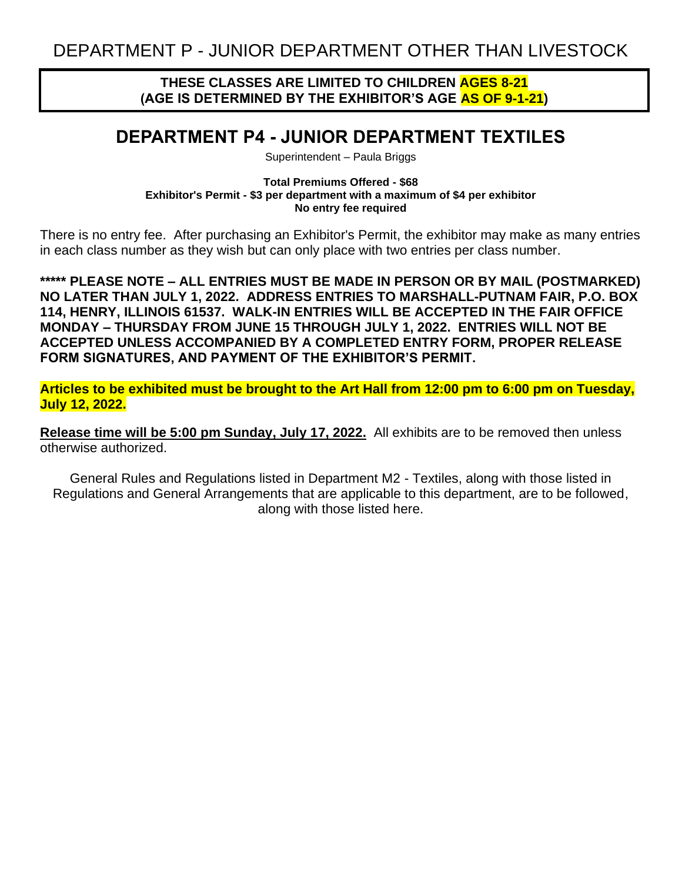### **THESE CLASSES ARE LIMITED TO CHILDREN AGES 8-21 (AGE IS DETERMINED BY THE EXHIBITOR'S AGE AS OF 9-1-21)**

# **DEPARTMENT P4 - JUNIOR DEPARTMENT TEXTILES**

Superintendent – Paula Briggs

**Total Premiums Offered - \$68 Exhibitor's Permit - \$3 per department with a maximum of \$4 per exhibitor No entry fee required**

There is no entry fee. After purchasing an Exhibitor's Permit, the exhibitor may make as many entries in each class number as they wish but can only place with two entries per class number.

**\*\*\*\*\* PLEASE NOTE – ALL ENTRIES MUST BE MADE IN PERSON OR BY MAIL (POSTMARKED) NO LATER THAN JULY 1, 2022. ADDRESS ENTRIES TO MARSHALL-PUTNAM FAIR, P.O. BOX 114, HENRY, ILLINOIS 61537. WALK-IN ENTRIES WILL BE ACCEPTED IN THE FAIR OFFICE MONDAY – THURSDAY FROM JUNE 15 THROUGH JULY 1, 2022. ENTRIES WILL NOT BE ACCEPTED UNLESS ACCOMPANIED BY A COMPLETED ENTRY FORM, PROPER RELEASE FORM SIGNATURES, AND PAYMENT OF THE EXHIBITOR'S PERMIT.**

**Articles to be exhibited must be brought to the Art Hall from 12:00 pm to 6:00 pm on Tuesday, July 12, 2022.**

**Release time will be 5:00 pm Sunday, July 17, 2022.** All exhibits are to be removed then unless otherwise authorized.

General Rules and Regulations listed in Department M2 - Textiles, along with those listed in Regulations and General Arrangements that are applicable to this department, are to be followed, along with those listed here.